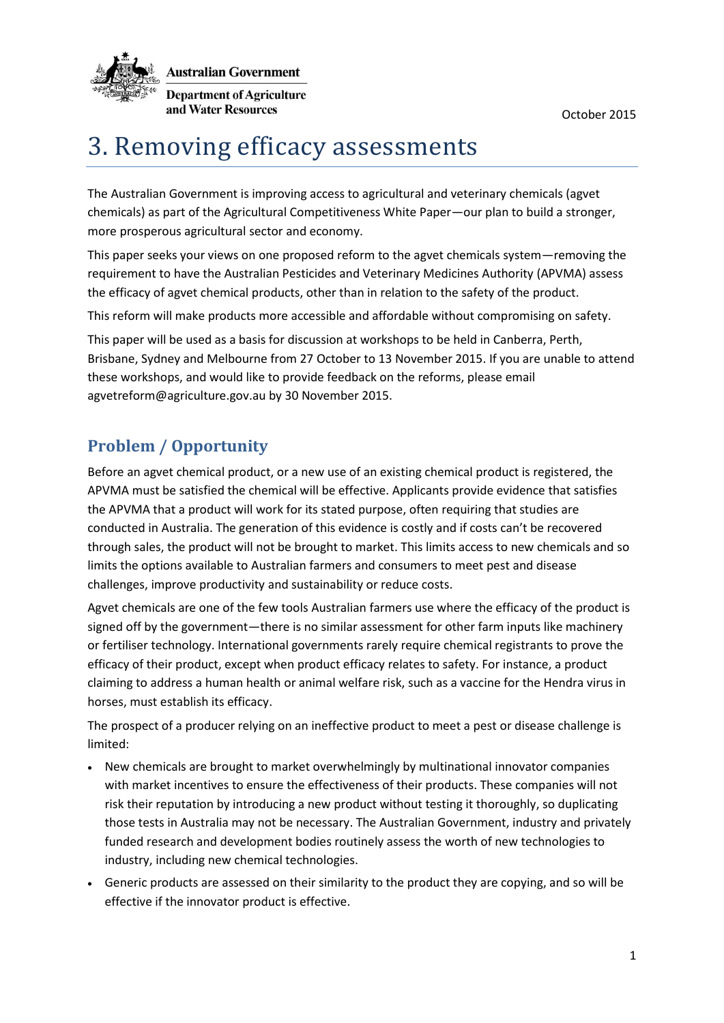

# 3. Removing efficacy assessments

The Australian Government is improving access to agricultural and veterinary chemicals (agvet chemicals) as part of the Agricultural Competitiveness White Paper—our plan to build a stronger, more prosperous agricultural sector and economy.

This paper seeks your views on one proposed reform to the agvet chemicals system—removing the requirement to have the Australian Pesticides and Veterinary Medicines Authority (APVMA) assess the efficacy of agvet chemical products, other than in relation to the safety of the product.

This reform will make products more accessible and affordable without compromising on safety.

This paper will be used as a basis for discussion at workshops to be held in Canberra, Perth, Brisbane, Sydney and Melbourne from 27 October to 13 November 2015. If you are unable to attend these workshops, and would like to provide feedback on the reforms, please email agvetreform@agriculture.gov.au by 30 November 2015.

## **Problem / Opportunity**

Before an agvet chemical product, or a new use of an existing chemical product is registered, the APVMA must be satisfied the chemical will be effective. Applicants provide evidence that satisfies the APVMA that a product will work for its stated purpose, often requiring that studies are conducted in Australia. The generation of this evidence is costly and if costs can't be recovered through sales, the product will not be brought to market. This limits access to new chemicals and so limits the options available to Australian farmers and consumers to meet pest and disease challenges, improve productivity and sustainability or reduce costs.

Agvet chemicals are one of the few tools Australian farmers use where the efficacy of the product is signed off by the government—there is no similar assessment for other farm inputs like machinery or fertiliser technology. International governments rarely require chemical registrants to prove the efficacy of their product, except when product efficacy relates to safety. For instance, a product claiming to address a human health or animal welfare risk, such as a vaccine for the Hendra virus in horses, must establish its efficacy.

The prospect of a producer relying on an ineffective product to meet a pest or disease challenge is limited:

- New chemicals are brought to market overwhelmingly by multinational innovator companies with market incentives to ensure the effectiveness of their products. These companies will not risk their reputation by introducing a new product without testing it thoroughly, so duplicating those tests in Australia may not be necessary. The Australian Government, industry and privately funded research and development bodies routinely assess the worth of new technologies to industry, including new chemical technologies.
- Generic products are assessed on their similarity to the product they are copying, and so will be effective if the innovator product is effective.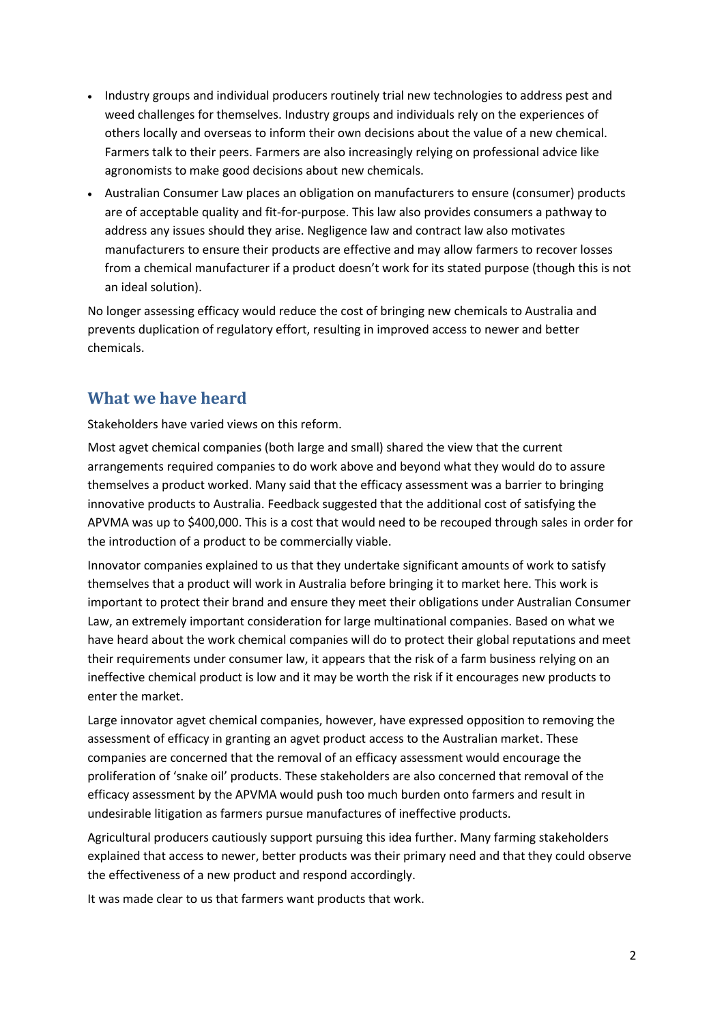- Industry groups and individual producers routinely trial new technologies to address pest and weed challenges for themselves. Industry groups and individuals rely on the experiences of others locally and overseas to inform their own decisions about the value of a new chemical. Farmers talk to their peers. Farmers are also increasingly relying on professional advice like agronomists to make good decisions about new chemicals.
- Australian Consumer Law places an obligation on manufacturers to ensure (consumer) products are of acceptable quality and fit-for-purpose. This law also provides consumers a pathway to address any issues should they arise. Negligence law and contract law also motivates manufacturers to ensure their products are effective and may allow farmers to recover losses from a chemical manufacturer if a product doesn't work for its stated purpose (though this is not an ideal solution).

No longer assessing efficacy would reduce the cost of bringing new chemicals to Australia and prevents duplication of regulatory effort, resulting in improved access to newer and better chemicals.

## **What we have heard**

Stakeholders have varied views on this reform.

Most agvet chemical companies (both large and small) shared the view that the current arrangements required companies to do work above and beyond what they would do to assure themselves a product worked. Many said that the efficacy assessment was a barrier to bringing innovative products to Australia. Feedback suggested that the additional cost of satisfying the APVMA was up to \$400,000. This is a cost that would need to be recouped through sales in order for the introduction of a product to be commercially viable.

Innovator companies explained to us that they undertake significant amounts of work to satisfy themselves that a product will work in Australia before bringing it to market here. This work is important to protect their brand and ensure they meet their obligations under Australian Consumer Law, an extremely important consideration for large multinational companies. Based on what we have heard about the work chemical companies will do to protect their global reputations and meet their requirements under consumer law, it appears that the risk of a farm business relying on an ineffective chemical product is low and it may be worth the risk if it encourages new products to enter the market.

Large innovator agvet chemical companies, however, have expressed opposition to removing the assessment of efficacy in granting an agvet product access to the Australian market. These companies are concerned that the removal of an efficacy assessment would encourage the proliferation of 'snake oil' products. These stakeholders are also concerned that removal of the efficacy assessment by the APVMA would push too much burden onto farmers and result in undesirable litigation as farmers pursue manufactures of ineffective products.

Agricultural producers cautiously support pursuing this idea further. Many farming stakeholders explained that access to newer, better products was their primary need and that they could observe the effectiveness of a new product and respond accordingly.

It was made clear to us that farmers want products that work.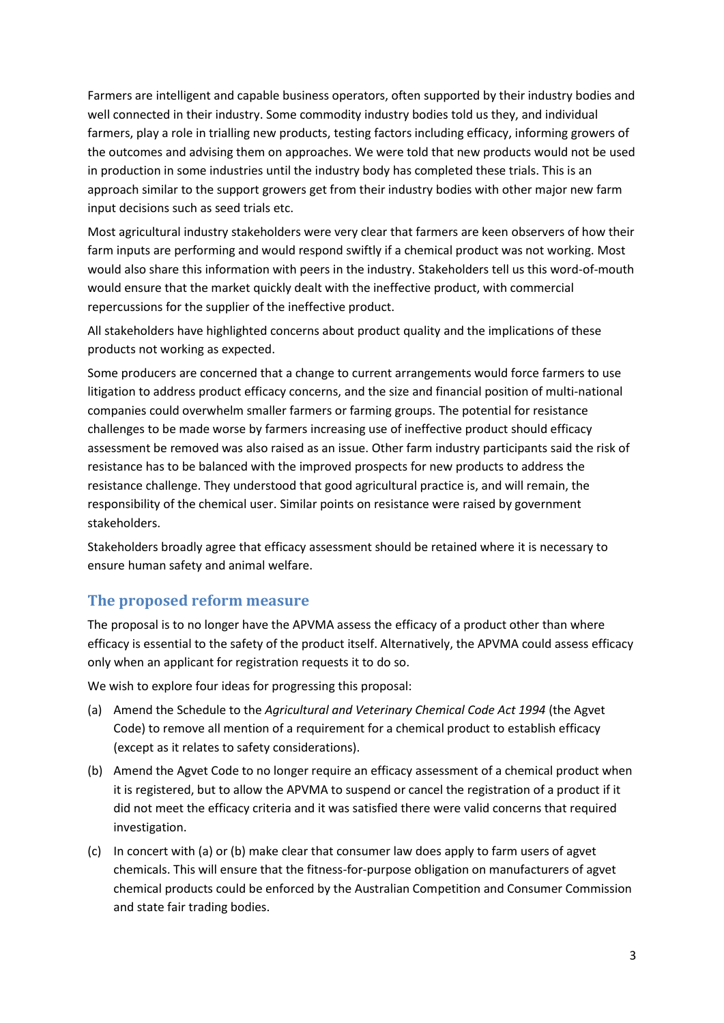Farmers are intelligent and capable business operators, often supported by their industry bodies and well connected in their industry. Some commodity industry bodies told us they, and individual farmers, play a role in trialling new products, testing factors including efficacy, informing growers of the outcomes and advising them on approaches. We were told that new products would not be used in production in some industries until the industry body has completed these trials. This is an approach similar to the support growers get from their industry bodies with other major new farm input decisions such as seed trials etc.

Most agricultural industry stakeholders were very clear that farmers are keen observers of how their farm inputs are performing and would respond swiftly if a chemical product was not working. Most would also share this information with peers in the industry. Stakeholders tell us this word-of-mouth would ensure that the market quickly dealt with the ineffective product, with commercial repercussions for the supplier of the ineffective product.

All stakeholders have highlighted concerns about product quality and the implications of these products not working as expected.

Some producers are concerned that a change to current arrangements would force farmers to use litigation to address product efficacy concerns, and the size and financial position of multi-national companies could overwhelm smaller farmers or farming groups. The potential for resistance challenges to be made worse by farmers increasing use of ineffective product should efficacy assessment be removed was also raised as an issue. Other farm industry participants said the risk of resistance has to be balanced with the improved prospects for new products to address the resistance challenge. They understood that good agricultural practice is, and will remain, the responsibility of the chemical user. Similar points on resistance were raised by government stakeholders.

Stakeholders broadly agree that efficacy assessment should be retained where it is necessary to ensure human safety and animal welfare.

### **The proposed reform measure**

The proposal is to no longer have the APVMA assess the efficacy of a product other than where efficacy is essential to the safety of the product itself. Alternatively, the APVMA could assess efficacy only when an applicant for registration requests it to do so.

We wish to explore four ideas for progressing this proposal:

- (a) Amend the Schedule to the *Agricultural and Veterinary Chemical Code Act 1994* (the Agvet Code) to remove all mention of a requirement for a chemical product to establish efficacy (except as it relates to safety considerations).
- (b) Amend the Agvet Code to no longer require an efficacy assessment of a chemical product when it is registered, but to allow the APVMA to suspend or cancel the registration of a product if it did not meet the efficacy criteria and it was satisfied there were valid concerns that required investigation.
- (c) In concert with (a) or (b) make clear that consumer law does apply to farm users of agvet chemicals. This will ensure that the fitness-for-purpose obligation on manufacturers of agvet chemical products could be enforced by the Australian Competition and Consumer Commission and state fair trading bodies.